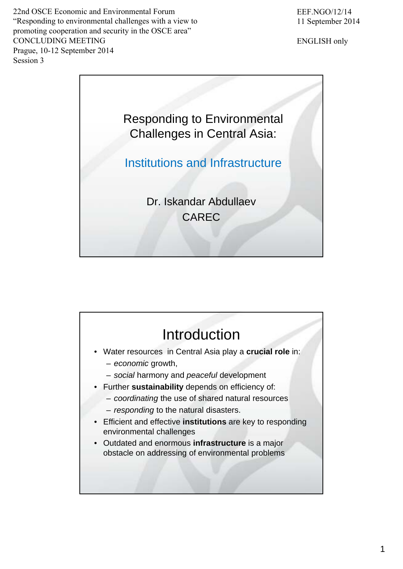22nd OSCE Economic and Environmental Forum "Responding to environmental challenges with a view to promoting cooperation and security in the OSCE area" CONCLUDING MEETING Prague, 10-12 September 2014 Session 3

ENGLISH only



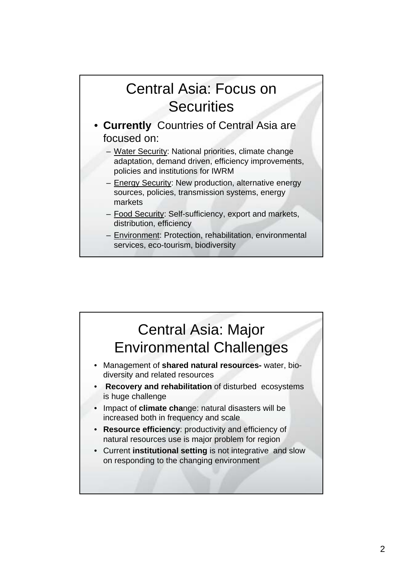## Central Asia: Focus on **Securities**

- **Currently** Countries of Central Asia are focused on:
	- Water Security: National priorities, climate change adaptation, demand driven, efficiency improvements, policies and institutions for IWRM
	- Energy Security: New production, alternative energy sources, policies, transmission systems, energy markets
	- Food Security: Self-sufficiency, export and markets, distribution, efficiency
	- Environment: Protection, rehabilitation, environmental services, eco-tourism, biodiversity

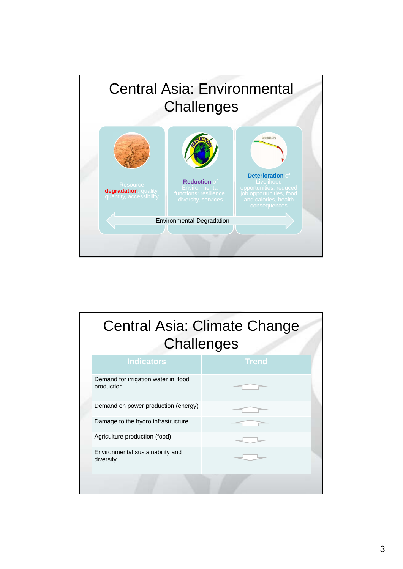

|  |                                                   | <b>Central Asia: Climate Change</b><br><b>Challenges</b> |  |  |
|--|---------------------------------------------------|----------------------------------------------------------|--|--|
|  | <b>Indicators</b>                                 | <b>Trend</b>                                             |  |  |
|  | Demand for irrigation water in food<br>production |                                                          |  |  |
|  | Demand on power production (energy)               |                                                          |  |  |
|  | Damage to the hydro infrastructure                |                                                          |  |  |
|  | Agriculture production (food)                     |                                                          |  |  |
|  | Environmental sustainability and<br>diversity     |                                                          |  |  |
|  |                                                   |                                                          |  |  |